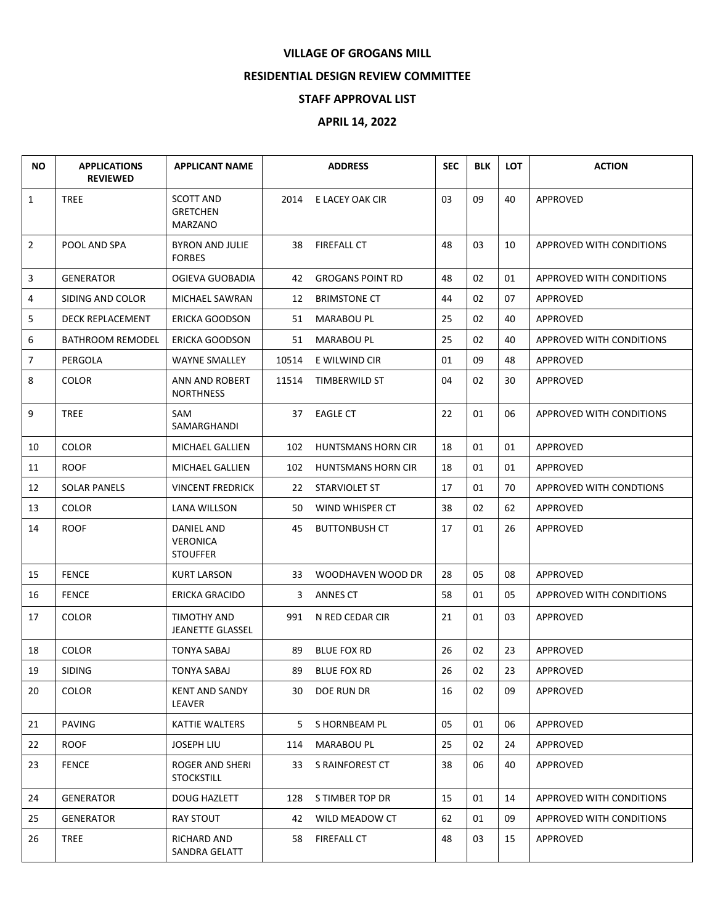## **VILLAGE OF GROGANS MILL**

## **RESIDENTIAL DESIGN REVIEW COMMITTEE**

## **STAFF APPROVAL LIST**

## **APRIL 14, 2022**

| NO.            | <b>APPLICATIONS</b><br><b>REVIEWED</b> | <b>APPLICANT NAME</b>                            | <b>ADDRESS</b> |                           | <b>SEC</b> | <b>BLK</b> | <b>LOT</b> | <b>ACTION</b>            |
|----------------|----------------------------------------|--------------------------------------------------|----------------|---------------------------|------------|------------|------------|--------------------------|
| $\mathbf{1}$   | <b>TREE</b>                            | <b>SCOTT AND</b><br><b>GRETCHEN</b><br>MARZANO   | 2014           | E LACEY OAK CIR           | 03         | 09         | 40         | <b>APPROVED</b>          |
| $\overline{2}$ | POOL AND SPA                           | BYRON AND JULIE<br><b>FORBES</b>                 | 38             | <b>FIREFALL CT</b>        | 48         | 03         | 10         | APPROVED WITH CONDITIONS |
| 3              | <b>GENERATOR</b>                       | OGIEVA GUOBADIA                                  | 42             | <b>GROGANS POINT RD</b>   | 48         | 02         | 01         | APPROVED WITH CONDITIONS |
| 4              | SIDING AND COLOR                       | MICHAEL SAWRAN                                   | 12             | <b>BRIMSTONE CT</b>       | 44         | 02         | 07         | APPROVED                 |
| 5              | <b>DECK REPLACEMENT</b>                | <b>ERICKA GOODSON</b>                            | 51             | <b>MARABOU PL</b>         | 25         | 02         | 40         | <b>APPROVED</b>          |
| 6              | <b>BATHROOM REMODEL</b>                | ERICKA GOODSON                                   | 51             | <b>MARABOU PL</b>         | 25         | 02         | 40         | APPROVED WITH CONDITIONS |
| $\overline{7}$ | PERGOLA                                | <b>WAYNE SMALLEY</b>                             | 10514          | E WILWIND CIR             | 01         | 09         | 48         | APPROVED                 |
| 8              | <b>COLOR</b>                           | ANN AND ROBERT<br><b>NORTHNESS</b>               | 11514          | TIMBERWILD ST             | 04         | 02         | 30         | <b>APPROVED</b>          |
| 9              | <b>TREE</b>                            | SAM<br>SAMARGHANDI                               | 37             | <b>EAGLE CT</b>           | 22         | 01         | 06         | APPROVED WITH CONDITIONS |
| 10             | <b>COLOR</b>                           | MICHAEL GALLIEN                                  | 102            | <b>HUNTSMANS HORN CIR</b> | 18         | 01         | 01         | APPROVED                 |
| 11             | <b>ROOF</b>                            | MICHAEL GALLIEN                                  | 102            | <b>HUNTSMANS HORN CIR</b> | 18         | 01         | 01         | APPROVED                 |
| 12             | <b>SOLAR PANELS</b>                    | <b>VINCENT FREDRICK</b>                          | 22             | STARVIOLET ST             | 17         | 01         | 70         | APPROVED WITH CONDTIONS  |
| 13             | <b>COLOR</b>                           | <b>LANA WILLSON</b>                              | 50             | WIND WHISPER CT           | 38         | 02         | 62         | <b>APPROVED</b>          |
| 14             | <b>ROOF</b>                            | DANIEL AND<br><b>VERONICA</b><br><b>STOUFFER</b> | 45             | <b>BUTTONBUSH CT</b>      | 17         | 01         | 26         | APPROVED                 |
| 15             | <b>FENCE</b>                           | <b>KURT LARSON</b>                               | 33             | WOODHAVEN WOOD DR         | 28         | 05         | 08         | APPROVED                 |
| 16             | <b>FENCE</b>                           | ERICKA GRACIDO                                   | 3              | ANNES CT                  | 58         | 01         | 05         | APPROVED WITH CONDITIONS |
| 17             | <b>COLOR</b>                           | TIMOTHY AND<br><b>JEANETTE GLASSEL</b>           | 991            | N RED CEDAR CIR           | 21         | 01         | 03         | APPROVED                 |
| 18             | <b>COLOR</b>                           | <b>TONYA SABAJ</b>                               | 89             | <b>BLUE FOX RD</b>        | 26         | 02         | 23         | APPROVED                 |
| 19             | <b>SIDING</b>                          | <b>TONYA SABAJ</b>                               | 89             | <b>BLUE FOX RD</b>        | 26         | 02         | 23         | APPROVED                 |
| 20             | <b>COLOR</b>                           | <b>KENT AND SANDY</b><br>LEAVER                  | 30             | DOE RUN DR                | 16         | 02         | 09         | APPROVED                 |
| 21             | <b>PAVING</b>                          | KATTIE WALTERS                                   | 5.             | S HORNBEAM PL             | 05         | 01         | 06         | APPROVED                 |
| 22             | <b>ROOF</b>                            | JOSEPH LIU                                       | 114            | MARABOU PL                | 25         | 02         | 24         | APPROVED                 |
| 23             | <b>FENCE</b>                           | ROGER AND SHERI<br><b>STOCKSTILL</b>             | 33             | S RAINFOREST CT           | 38         | 06         | 40         | APPROVED                 |
| 24             | <b>GENERATOR</b>                       | <b>DOUG HAZLETT</b>                              | 128            | S TIMBER TOP DR           | 15         | 01         | 14         | APPROVED WITH CONDITIONS |
| 25             | <b>GENERATOR</b>                       | RAY STOUT                                        | 42             | WILD MEADOW CT            | 62         | 01         | 09         | APPROVED WITH CONDITIONS |
| 26             | <b>TREE</b>                            | RICHARD AND<br>SANDRA GELATT                     | 58             | <b>FIREFALL CT</b>        | 48         | 03         | 15         | APPROVED                 |